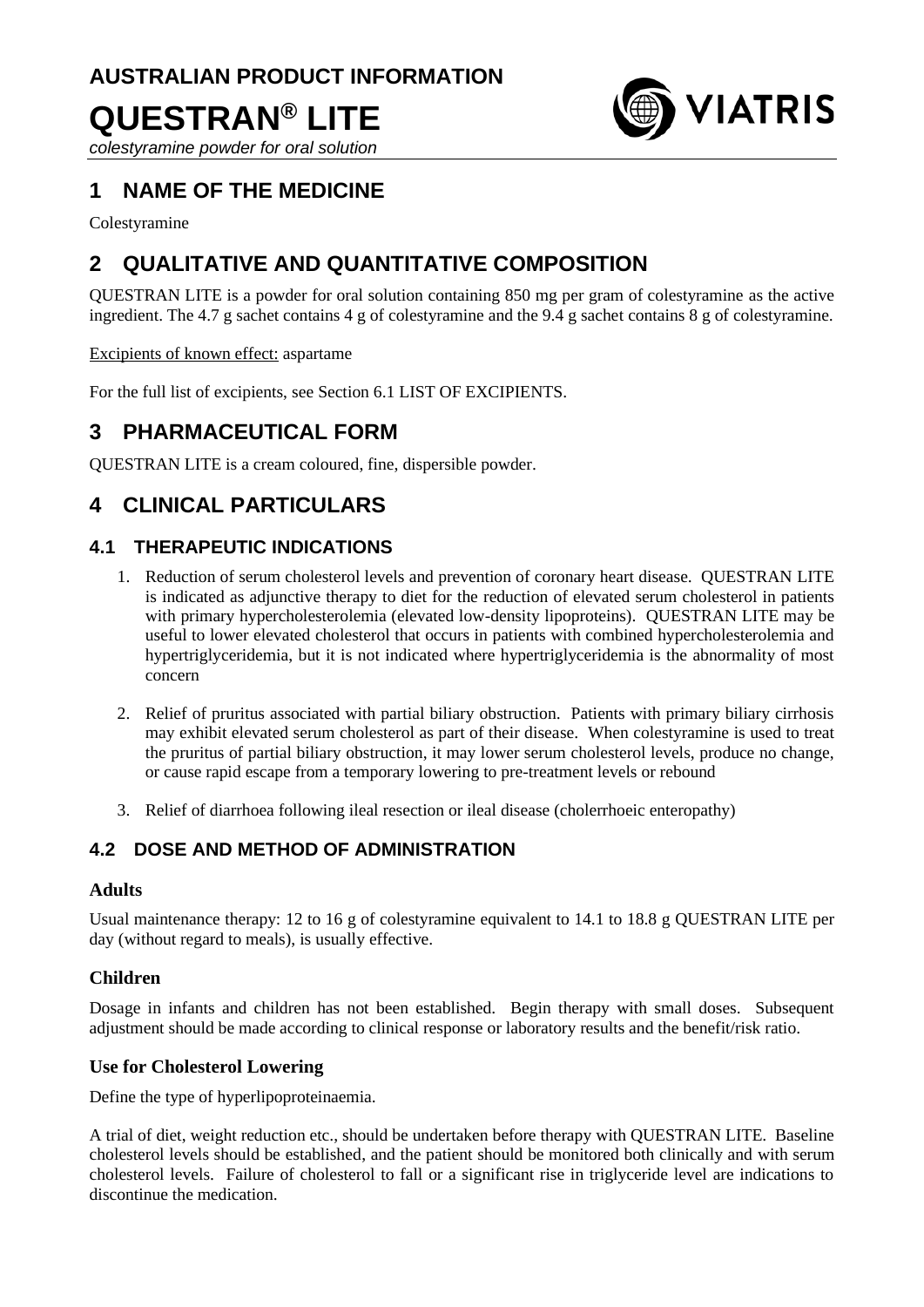# **AUSTRALIAN PRODUCT INFORMATION QUESTRAN® LITE**



*colestyramine powder for oral solution*

## **1 NAME OF THE MEDICINE**

Colestyramine

## **2 QUALITATIVE AND QUANTITATIVE COMPOSITION**

QUESTRAN LITE is a powder for oral solution containing 850 mg per gram of colestyramine as the active ingredient. The 4.7 g sachet contains 4 g of colestyramine and the 9.4 g sachet contains 8 g of colestyramine.

Excipients of known effect: aspartame

For the full list of excipients, see Section 6.1 LIST OF EXCIPIENTS.

## **3 PHARMACEUTICAL FORM**

QUESTRAN LITE is a cream coloured, fine, dispersible powder.

## **4 CLINICAL PARTICULARS**

## **4.1 THERAPEUTIC INDICATIONS**

- 1. Reduction of serum cholesterol levels and prevention of coronary heart disease. QUESTRAN LITE is indicated as adjunctive therapy to diet for the reduction of elevated serum cholesterol in patients with primary hypercholesterolemia (elevated low-density lipoproteins). QUESTRAN LITE may be useful to lower elevated cholesterol that occurs in patients with combined hypercholesterolemia and hypertriglyceridemia, but it is not indicated where hypertriglyceridemia is the abnormality of most concern
- 2. Relief of pruritus associated with partial biliary obstruction. Patients with primary biliary cirrhosis may exhibit elevated serum cholesterol as part of their disease. When colestyramine is used to treat the pruritus of partial biliary obstruction, it may lower serum cholesterol levels, produce no change, or cause rapid escape from a temporary lowering to pre-treatment levels or rebound
- 3. Relief of diarrhoea following ileal resection or ileal disease (cholerrhoeic enteropathy)

## **4.2 DOSE AND METHOD OF ADMINISTRATION**

#### **Adults**

Usual maintenance therapy: 12 to 16 g of colestyramine equivalent to 14.1 to 18.8 g QUESTRAN LITE per day (without regard to meals), is usually effective.

#### **Children**

Dosage in infants and children has not been established. Begin therapy with small doses. Subsequent adjustment should be made according to clinical response or laboratory results and the benefit/risk ratio.

#### **Use for Cholesterol Lowering**

Define the type of hyperlipoproteinaemia.

A trial of diet, weight reduction etc., should be undertaken before therapy with QUESTRAN LITE. Baseline cholesterol levels should be established, and the patient should be monitored both clinically and with serum cholesterol levels. Failure of cholesterol to fall or a significant rise in triglyceride level are indications to discontinue the medication.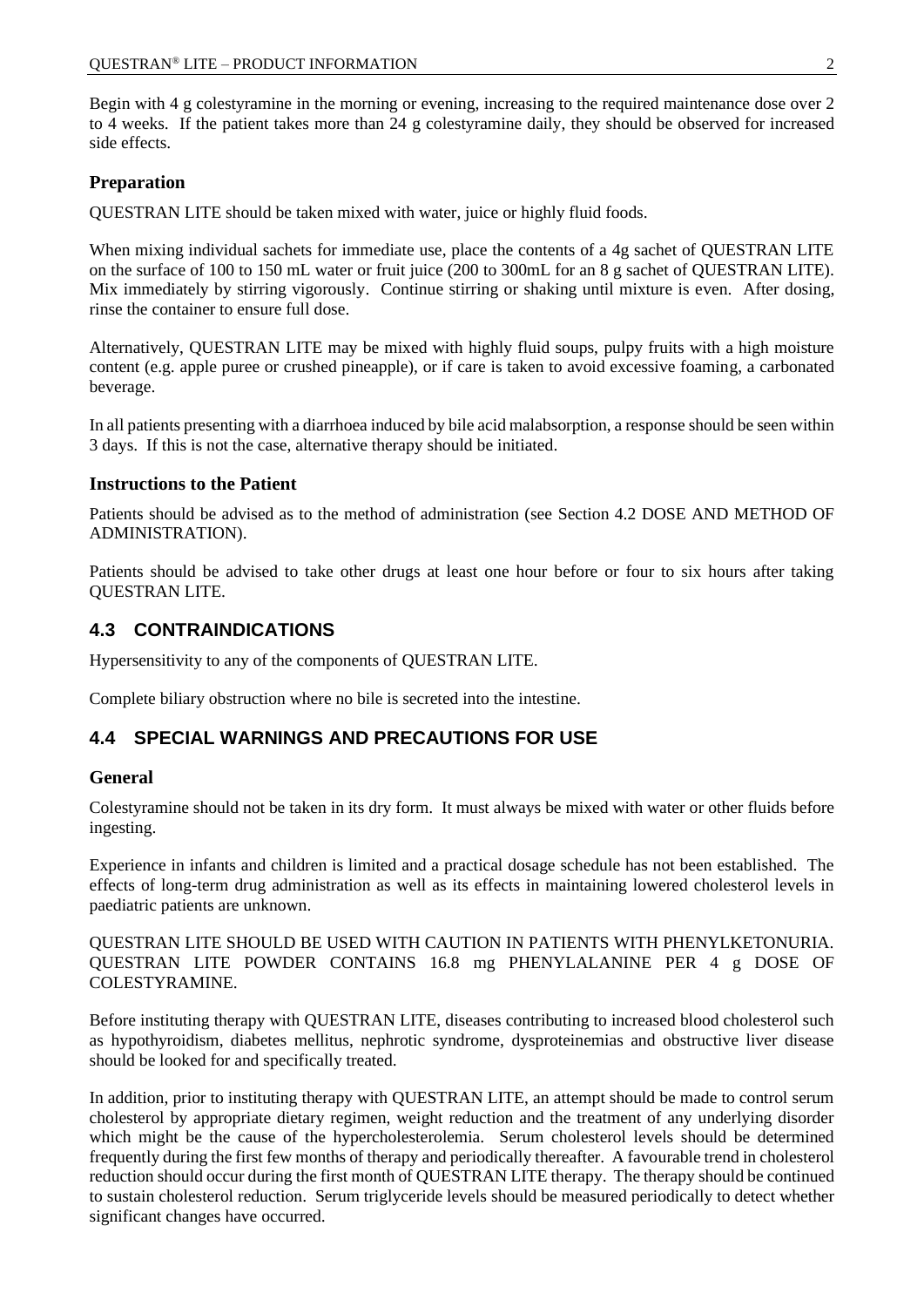Begin with 4 g colestyramine in the morning or evening, increasing to the required maintenance dose over 2 to 4 weeks. If the patient takes more than 24 g colestyramine daily, they should be observed for increased side effects.

### **Preparation**

QUESTRAN LITE should be taken mixed with water, juice or highly fluid foods.

When mixing individual sachets for immediate use, place the contents of a 4g sachet of QUESTRAN LITE on the surface of 100 to 150 mL water or fruit juice (200 to 300mL for an 8 g sachet of QUESTRAN LITE). Mix immediately by stirring vigorously. Continue stirring or shaking until mixture is even. After dosing, rinse the container to ensure full dose.

Alternatively, QUESTRAN LITE may be mixed with highly fluid soups, pulpy fruits with a high moisture content (e.g. apple puree or crushed pineapple), or if care is taken to avoid excessive foaming, a carbonated beverage.

In all patients presenting with a diarrhoea induced by bile acid malabsorption, a response should be seen within 3 days. If this is not the case, alternative therapy should be initiated.

#### **Instructions to the Patient**

Patients should be advised as to the method of administration (see Section 4.2 DOSE AND METHOD OF ADMINISTRATION).

Patients should be advised to take other drugs at least one hour before or four to six hours after taking QUESTRAN LITE.

### **4.3 CONTRAINDICATIONS**

Hypersensitivity to any of the components of QUESTRAN LITE.

Complete biliary obstruction where no bile is secreted into the intestine.

## **4.4 SPECIAL WARNINGS AND PRECAUTIONS FOR USE**

#### **General**

Colestyramine should not be taken in its dry form. It must always be mixed with water or other fluids before ingesting.

Experience in infants and children is limited and a practical dosage schedule has not been established. The effects of long-term drug administration as well as its effects in maintaining lowered cholesterol levels in paediatric patients are unknown.

QUESTRAN LITE SHOULD BE USED WITH CAUTION IN PATIENTS WITH PHENYLKETONURIA. QUESTRAN LITE POWDER CONTAINS 16.8 mg PHENYLALANINE PER 4 g DOSE OF COLESTYRAMINE.

Before instituting therapy with QUESTRAN LITE, diseases contributing to increased blood cholesterol such as hypothyroidism, diabetes mellitus, nephrotic syndrome, dysproteinemias and obstructive liver disease should be looked for and specifically treated.

In addition, prior to instituting therapy with QUESTRAN LITE, an attempt should be made to control serum cholesterol by appropriate dietary regimen, weight reduction and the treatment of any underlying disorder which might be the cause of the hypercholesterolemia. Serum cholesterol levels should be determined frequently during the first few months of therapy and periodically thereafter. A favourable trend in cholesterol reduction should occur during the first month of QUESTRAN LITE therapy. The therapy should be continued to sustain cholesterol reduction. Serum triglyceride levels should be measured periodically to detect whether significant changes have occurred.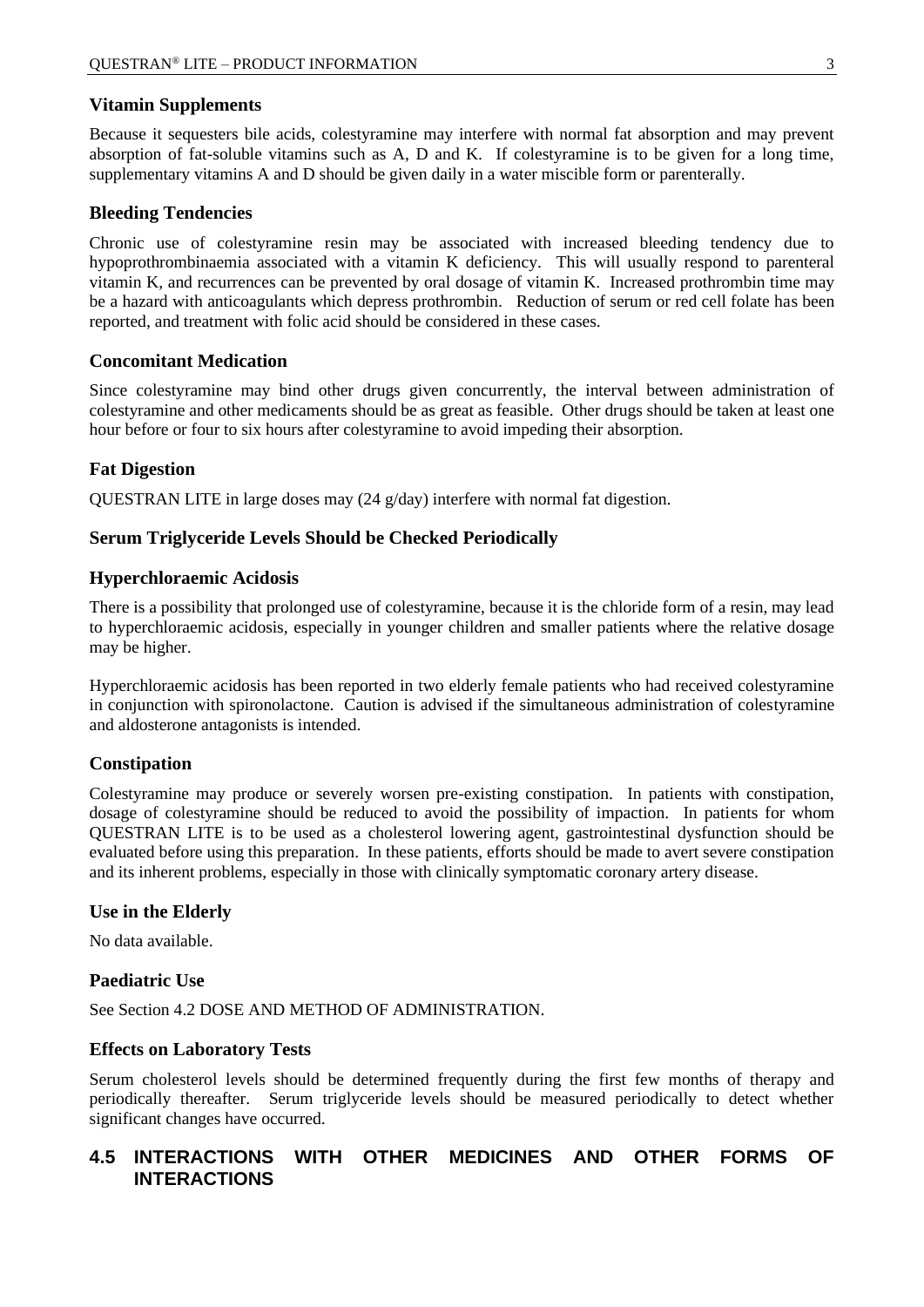#### **Vitamin Supplements**

Because it sequesters bile acids, colestyramine may interfere with normal fat absorption and may prevent absorption of fat-soluble vitamins such as A, D and K. If colestyramine is to be given for a long time, supplementary vitamins A and D should be given daily in a water miscible form or parenterally.

#### **Bleeding Tendencies**

Chronic use of colestyramine resin may be associated with increased bleeding tendency due to hypoprothrombinaemia associated with a vitamin K deficiency. This will usually respond to parenteral vitamin K, and recurrences can be prevented by oral dosage of vitamin K. Increased prothrombin time may be a hazard with anticoagulants which depress prothrombin. Reduction of serum or red cell folate has been reported, and treatment with folic acid should be considered in these cases.

#### **Concomitant Medication**

Since colestyramine may bind other drugs given concurrently, the interval between administration of colestyramine and other medicaments should be as great as feasible. Other drugs should be taken at least one hour before or four to six hours after colestyramine to avoid impeding their absorption.

#### **Fat Digestion**

QUESTRAN LITE in large doses may (24 g/day) interfere with normal fat digestion.

#### **Serum Triglyceride Levels Should be Checked Periodically**

#### **Hyperchloraemic Acidosis**

There is a possibility that prolonged use of colestyramine, because it is the chloride form of a resin, may lead to hyperchloraemic acidosis, especially in younger children and smaller patients where the relative dosage may be higher.

Hyperchloraemic acidosis has been reported in two elderly female patients who had received colestyramine in conjunction with spironolactone. Caution is advised if the simultaneous administration of colestyramine and aldosterone antagonists is intended.

#### **Constipation**

Colestyramine may produce or severely worsen pre-existing constipation. In patients with constipation, dosage of colestyramine should be reduced to avoid the possibility of impaction. In patients for whom QUESTRAN LITE is to be used as a cholesterol lowering agent, gastrointestinal dysfunction should be evaluated before using this preparation. In these patients, efforts should be made to avert severe constipation and its inherent problems, especially in those with clinically symptomatic coronary artery disease.

#### **Use in the Elderly**

No data available.

#### **Paediatric Use**

See Section 4.2 DOSE AND METHOD OF ADMINISTRATION.

#### **Effects on Laboratory Tests**

Serum cholesterol levels should be determined frequently during the first few months of therapy and periodically thereafter. Serum triglyceride levels should be measured periodically to detect whether significant changes have occurred.

## **4.5 INTERACTIONS WITH OTHER MEDICINES AND OTHER FORMS OF INTERACTIONS**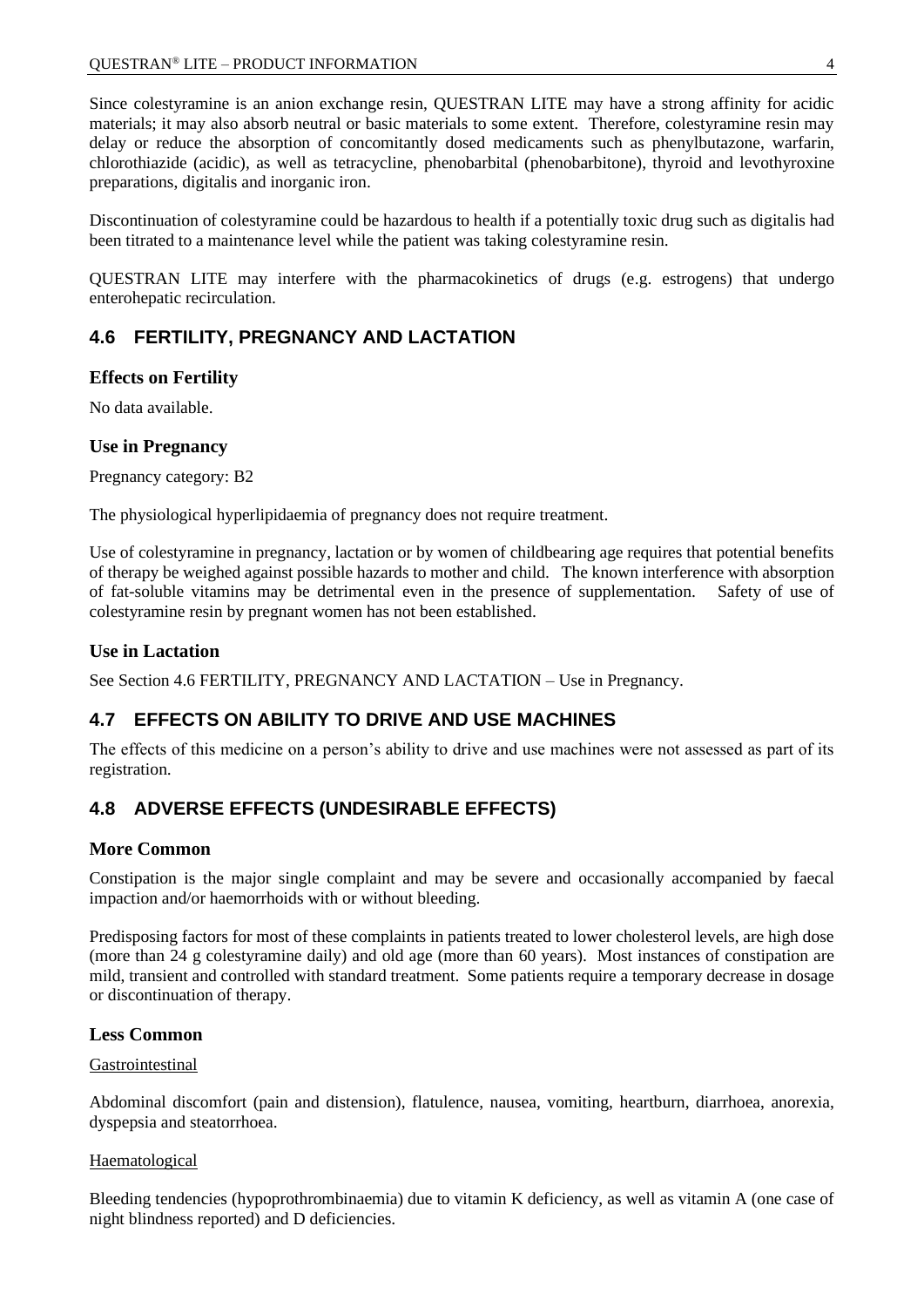Since colestyramine is an anion exchange resin, QUESTRAN LITE may have a strong affinity for acidic materials; it may also absorb neutral or basic materials to some extent. Therefore, colestyramine resin may delay or reduce the absorption of concomitantly dosed medicaments such as phenylbutazone, warfarin, chlorothiazide (acidic), as well as tetracycline, phenobarbital (phenobarbitone), thyroid and levothyroxine preparations, digitalis and inorganic iron.

Discontinuation of colestyramine could be hazardous to health if a potentially toxic drug such as digitalis had been titrated to a maintenance level while the patient was taking colestyramine resin.

QUESTRAN LITE may interfere with the pharmacokinetics of drugs (e.g. estrogens) that undergo enterohepatic recirculation.

## **4.6 FERTILITY, PREGNANCY AND LACTATION**

#### **Effects on Fertility**

No data available.

#### **Use in Pregnancy**

Pregnancy category: B2

The physiological hyperlipidaemia of pregnancy does not require treatment.

Use of colestyramine in pregnancy, lactation or by women of childbearing age requires that potential benefits of therapy be weighed against possible hazards to mother and child. The known interference with absorption of fat-soluble vitamins may be detrimental even in the presence of supplementation. Safety of use of colestyramine resin by pregnant women has not been established.

#### **Use in Lactation**

See Section 4.6 FERTILITY, PREGNANCY AND LACTATION – Use in Pregnancy.

## **4.7 EFFECTS ON ABILITY TO DRIVE AND USE MACHINES**

The effects of this medicine on a person's ability to drive and use machines were not assessed as part of its registration.

## **4.8 ADVERSE EFFECTS (UNDESIRABLE EFFECTS)**

#### **More Common**

Constipation is the major single complaint and may be severe and occasionally accompanied by faecal impaction and/or haemorrhoids with or without bleeding.

Predisposing factors for most of these complaints in patients treated to lower cholesterol levels, are high dose (more than 24 g colestyramine daily) and old age (more than 60 years). Most instances of constipation are mild, transient and controlled with standard treatment. Some patients require a temporary decrease in dosage or discontinuation of therapy.

#### **Less Common**

#### Gastrointestinal

Abdominal discomfort (pain and distension), flatulence, nausea, vomiting, heartburn, diarrhoea, anorexia, dyspepsia and steatorrhoea.

#### Haematological

Bleeding tendencies (hypoprothrombinaemia) due to vitamin K deficiency, as well as vitamin A (one case of night blindness reported) and D deficiencies.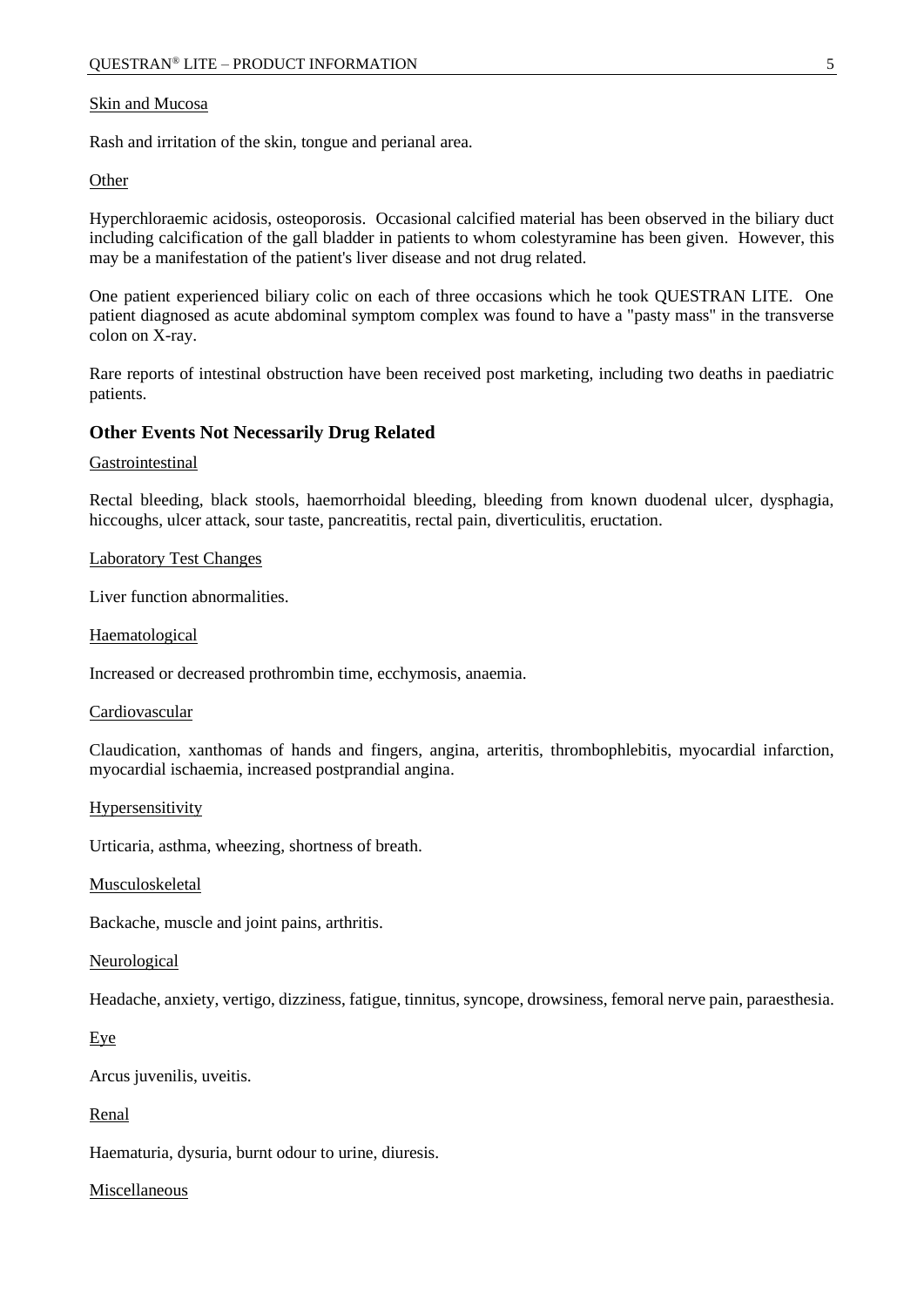#### Skin and Mucosa

Rash and irritation of the skin, tongue and perianal area.

#### **Other**

Hyperchloraemic acidosis, osteoporosis. Occasional calcified material has been observed in the biliary duct including calcification of the gall bladder in patients to whom colestyramine has been given. However, this may be a manifestation of the patient's liver disease and not drug related.

One patient experienced biliary colic on each of three occasions which he took QUESTRAN LITE. One patient diagnosed as acute abdominal symptom complex was found to have a "pasty mass" in the transverse colon on X-ray.

Rare reports of intestinal obstruction have been received post marketing, including two deaths in paediatric patients.

#### **Other Events Not Necessarily Drug Related**

#### Gastrointestinal

Rectal bleeding, black stools, haemorrhoidal bleeding, bleeding from known duodenal ulcer, dysphagia, hiccoughs, ulcer attack, sour taste, pancreatitis, rectal pain, diverticulitis, eructation.

#### Laboratory Test Changes

Liver function abnormalities.

#### Haematological

Increased or decreased prothrombin time, ecchymosis, anaemia.

#### Cardiovascular

Claudication, xanthomas of hands and fingers, angina, arteritis, thrombophlebitis, myocardial infarction, myocardial ischaemia, increased postprandial angina.

#### **Hypersensitivity**

Urticaria, asthma, wheezing, shortness of breath.

#### Musculoskeletal

Backache, muscle and joint pains, arthritis.

#### Neurological

Headache, anxiety, vertigo, dizziness, fatigue, tinnitus, syncope, drowsiness, femoral nerve pain, paraesthesia.

#### Eye

Arcus juvenilis, uveitis.

#### Renal

Haematuria, dysuria, burnt odour to urine, diuresis.

#### Miscellaneous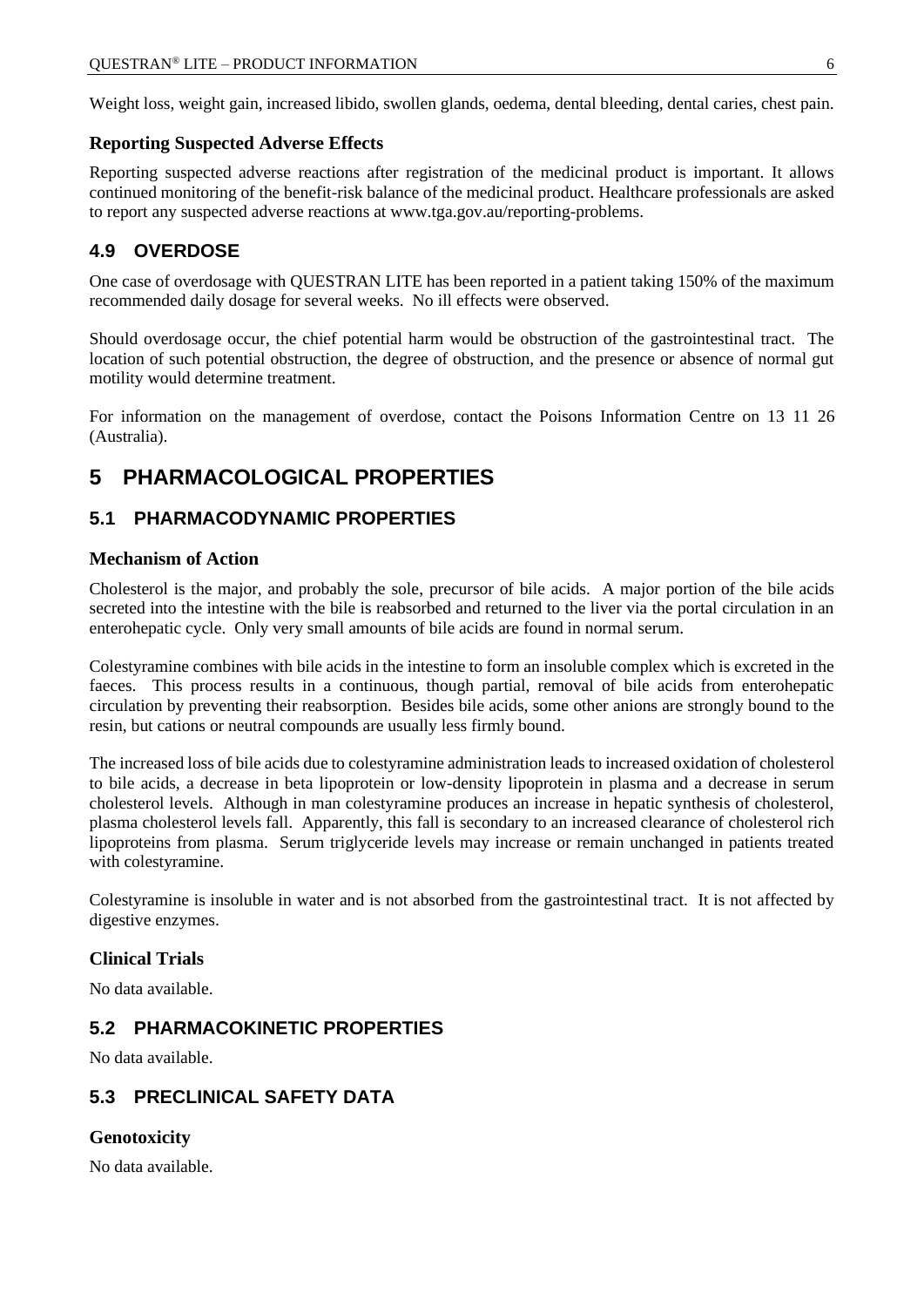Weight loss, weight gain, increased libido, swollen glands, oedema, dental bleeding, dental caries, chest pain.

#### **Reporting Suspected Adverse Effects**

Reporting suspected adverse reactions after registration of the medicinal product is important. It allows continued monitoring of the benefit-risk balance of the medicinal product. Healthcare professionals are asked to report any suspected adverse reactions at [www.tga.gov.au/reporting-problems.](http://www.tga.gov.au/reporting-problems)

## **4.9 OVERDOSE**

One case of overdosage with QUESTRAN LITE has been reported in a patient taking 150% of the maximum recommended daily dosage for several weeks. No ill effects were observed.

Should overdosage occur, the chief potential harm would be obstruction of the gastrointestinal tract. The location of such potential obstruction, the degree of obstruction, and the presence or absence of normal gut motility would determine treatment.

For information on the management of overdose, contact the Poisons Information Centre on 13 11 26 (Australia).

## **5 PHARMACOLOGICAL PROPERTIES**

## **5.1 PHARMACODYNAMIC PROPERTIES**

#### **Mechanism of Action**

Cholesterol is the major, and probably the sole, precursor of bile acids. A major portion of the bile acids secreted into the intestine with the bile is reabsorbed and returned to the liver via the portal circulation in an enterohepatic cycle. Only very small amounts of bile acids are found in normal serum.

Colestyramine combines with bile acids in the intestine to form an insoluble complex which is excreted in the faeces. This process results in a continuous, though partial, removal of bile acids from enterohepatic circulation by preventing their reabsorption. Besides bile acids, some other anions are strongly bound to the resin, but cations or neutral compounds are usually less firmly bound.

The increased loss of bile acids due to colestyramine administration leads to increased oxidation of cholesterol to bile acids, a decrease in beta lipoprotein or low-density lipoprotein in plasma and a decrease in serum cholesterol levels. Although in man colestyramine produces an increase in hepatic synthesis of cholesterol, plasma cholesterol levels fall. Apparently, this fall is secondary to an increased clearance of cholesterol rich lipoproteins from plasma. Serum triglyceride levels may increase or remain unchanged in patients treated with colestyramine.

Colestyramine is insoluble in water and is not absorbed from the gastrointestinal tract. It is not affected by digestive enzymes.

#### **Clinical Trials**

No data available.

## **5.2 PHARMACOKINETIC PROPERTIES**

No data available.

## **5.3 PRECLINICAL SAFETY DATA**

#### **Genotoxicity**

No data available.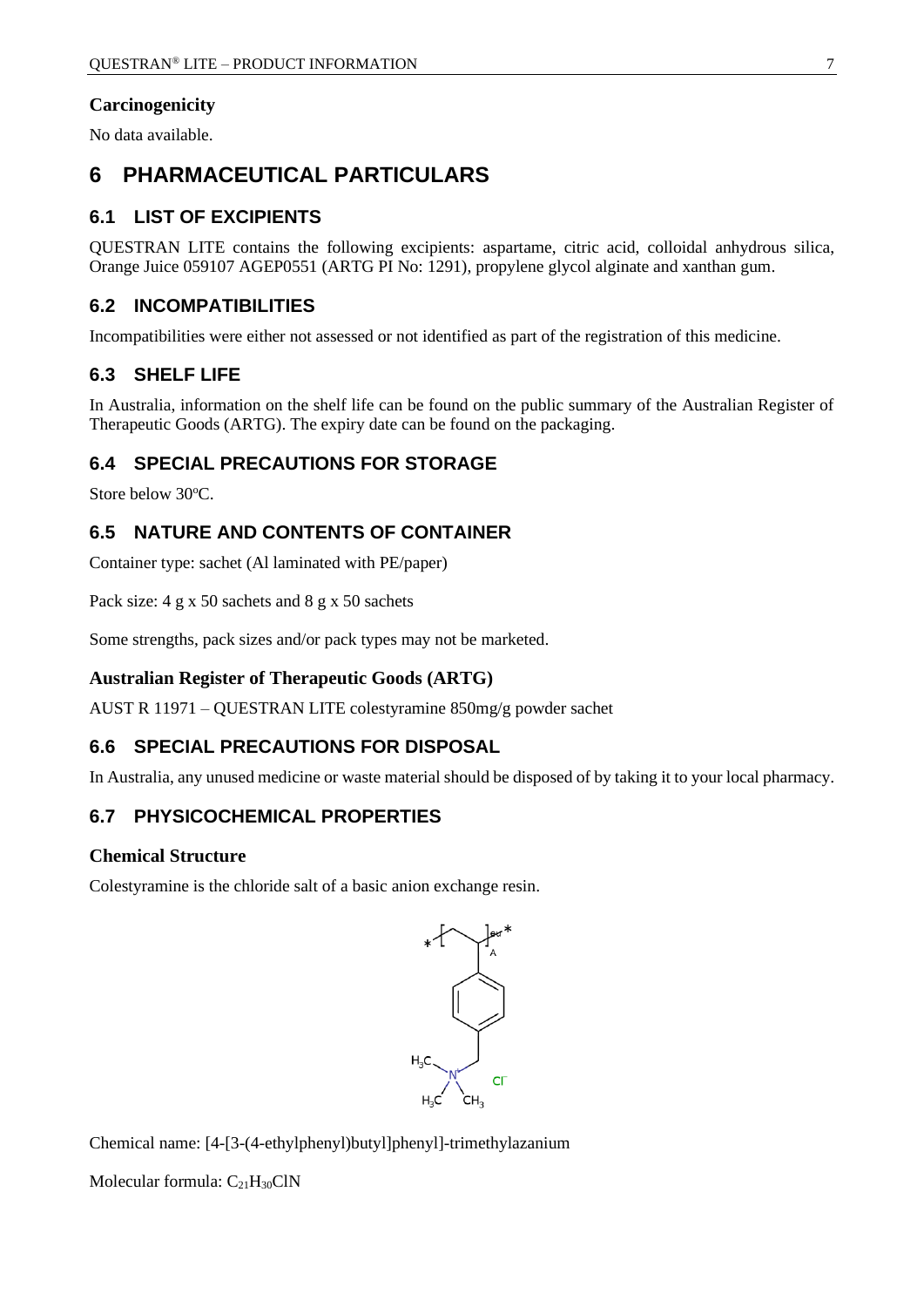## **Carcinogenicity**

No data available.

## **6 PHARMACEUTICAL PARTICULARS**

## **6.1 LIST OF EXCIPIENTS**

QUESTRAN LITE contains the following excipients: aspartame, citric acid, colloidal anhydrous silica, Orange Juice 059107 AGEP0551 (ARTG PI No: 1291), propylene glycol alginate and xanthan gum.

## **6.2 INCOMPATIBILITIES**

Incompatibilities were either not assessed or not identified as part of the registration of this medicine.

## **6.3 SHELF LIFE**

In Australia, information on the shelf life can be found on the public summary of the Australian Register of Therapeutic Goods (ARTG). The expiry date can be found on the packaging.

## **6.4 SPECIAL PRECAUTIONS FOR STORAGE**

Store below 30°C.

## **6.5 NATURE AND CONTENTS OF CONTAINER**

Container type: sachet (Al laminated with PE/paper)

Pack size: 4 g x 50 sachets and 8 g x 50 sachets

Some strengths, pack sizes and/or pack types may not be marketed.

## **Australian Register of Therapeutic Goods (ARTG)**

AUST R 11971 – QUESTRAN LITE colestyramine 850mg/g powder sachet

## **6.6 SPECIAL PRECAUTIONS FOR DISPOSAL**

In Australia, any unused medicine or waste material should be disposed of by taking it to your local pharmacy.

## **6.7 PHYSICOCHEMICAL PROPERTIES**

#### **Chemical Structure**

Colestyramine is the chloride salt of a basic anion exchange resin.



Chemical name: [4-[3-(4-ethylphenyl)butyl]phenyl]-trimethylazanium

Molecular formula:  $C_{21}H_{30}C1N$